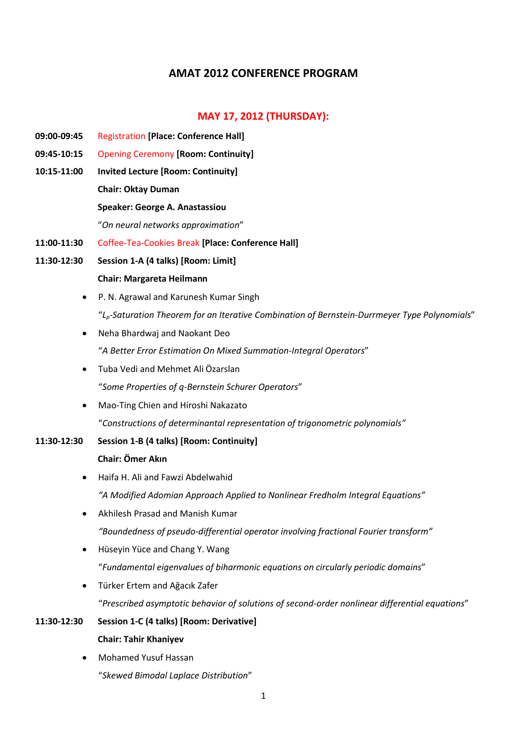# **AMAT 2012 CONFERENCE PROGRAM**

# **MAY 17, 2012 (THURSDAY):**

- **09:00-09:45** Registration **[Place: Conference Hall]**
- **09:45-10:15** Opening Ceremony **[Room: Continuity]**
- **10:15-11:00 Invited Lecture [Room: Continuity]**

## **Chair: Oktay Duman**

**Speaker: George A. Anastassiou**

"*On neural networks approximation*"

- **11:00-11:30** Coffee-Tea-Cookies Break **[Place: Conference Hall]**
- **11:30-12:30 Session 1-A (4 talks) [Room: Limit] Chair: Margareta Heilmann**
	- P. N. Agrawal and Karunesh Kumar Singh "*Lp-Saturation Theorem for an Iterative Combination of Bernstein-Durrmeyer Type Polynomials*"
	- Neha Bhardwaj and Naokant Deo "*A Better Error Estimation On Mixed Summation-Integral Operators*"
	- Tuba Vedi and Mehmet Ali Özarslan "*Some Properties of q-Bernstein Schurer Operators*"
	- Mao-Ting Chien and Hiroshi Nakazato "*Constructions of determinantal representation of trigonometric polynomials"*
- **11:30-12:30 Session 1-B (4 talks) [Room: Continuity]**

### **Chair: Ömer Akın**

- Haifa H. Ali and Fawzi Abdelwahid *"A Modified Adomian Approach Applied to Nonlinear Fredholm Integral Equations"*
- Akhilesh Prasad and Manish Kumar *"Boundedness of pseudo-differential operator involving fractional Fourier transform"*
- Hüseyin Yüce and Chang Y. Wang "*Fundamental eigenvalues of biharmonic equations on circularly periodic domains*"
- Türker Ertem and Ağacık Zafer "*Prescribed asymptotic behavior of solutions of second-order nonlinear differential equations*"

### **11:30-12:30 Session 1-C (4 talks) [Room: Derivative]**

### **Chair: Tahir Khaniyev**

 Mohamed Yusuf Hassan "*Skewed Bimodal Laplace Distribution*"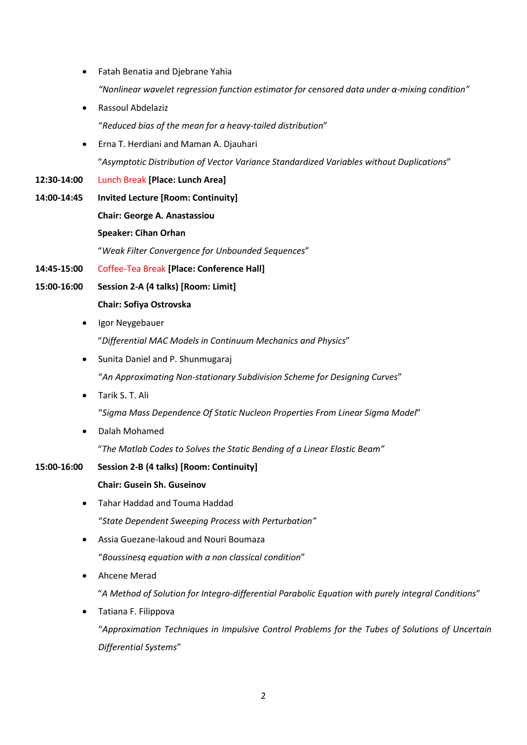- Fatah Benatia and Djebrane Yahia
	- *"Nonlinear wavelet regression function estimator for censored data under α-mixing condition"*
- Rassoul Abdelaziz "*Reduced bias of the mean for a heavy-tailed distribution*"
- Erna T. Herdiani and Maman A. Djauhari "*Asymptotic Distribution of Vector Variance Standardized Variables without Duplications*"
- **12:30-14:00** Lunch Break **[Place: Lunch Area]**
- **14:00-14:45 Invited Lecture [Room: Continuity] Chair: George A. Anastassiou Speaker: Cihan Orhan** "*Weak Filter Convergence for Unbounded Sequences*"
- **14:45-15:00** Coffee-Tea Break **[Place: Conference Hall]**
- **15:00-16:00 Session 2-A (4 talks) [Room: Limit] Chair: Sofiya Ostrovska**
	- Igor Neygebauer
		- "*Differential MAC Models in Continuum Mechanics and Physics*"
	- Sunita Daniel and P. Shunmugaraj "*An Approximating Non-stationary Subdivision Scheme for Designing Curves*"
	- Tarik S. T. Ali

"*Sigma Mass Dependence Of Static Nucleon Properties From Linear Sigma Model*"

- Dalah Mohamed "*The Matlab Codes to Solves the Static Bending of a Linear Elastic Beam"*
- **15:00-16:00 Session 2-B (4 talks) [Room: Continuity]**

# **Chair: Gusein Sh. Guseinov**

- Tahar Haddad and Touma Haddad "*State Dependent Sweeping Process with Perturbation"*
- Assia Guezane-lakoud and Nouri Boumaza "*Boussinesq equation with a non classical condition*"
- Ahcene Merad

"*A Method of Solution for Integro-differential Parabolic Equation with purely integral Conditions*"

 Tatiana F. Filippova "*Approximation Techniques in Impulsive Control Problems for the Tubes of Solutions of Uncertain Differential Systems*"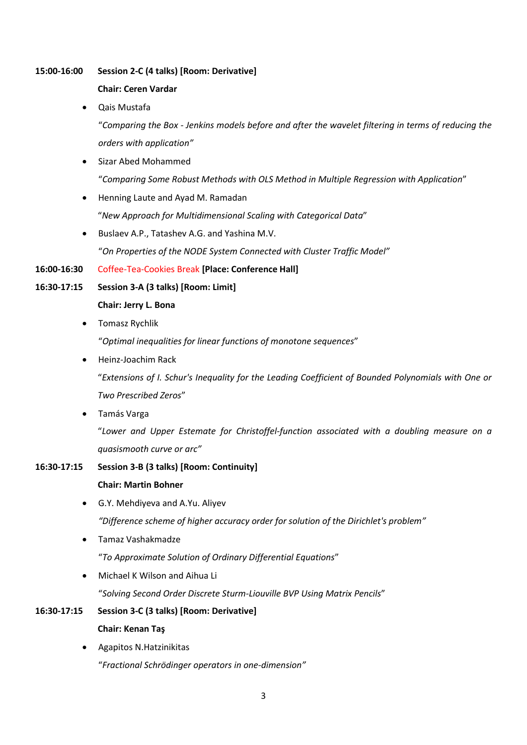### **15:00-16:00 Session 2-C (4 talks) [Room: Derivative]**

### **Chair: Ceren Vardar**

Qais Mustafa

"*Comparing the Box - Jenkins models before and after the wavelet filtering in terms of reducing the orders with application"*

Sizar Abed Mohammed

"*Comparing Some Robust Methods with OLS Method in Multiple Regression with Application*"

- Henning Laute and Ayad M. Ramadan "*New Approach for Multidimensional Scaling with Categorical Data*"
- Buslaev A.P., Tatashev A.G. and Yashina M.V.

"*On Properties of the NODE System Connected with Cluster Traffic Model"*

## **16:00-16:30** Coffee-Tea-Cookies Break **[Place: Conference Hall]**

## **16:30-17:15 Session 3-A (3 talks) [Room: Limit]**

- **Chair: Jerry L. Bona**
- Tomasz Rychlik

"*Optimal inequalities for linear functions of monotone sequences*"

Heinz-Joachim Rack

"*Extensions of I. Schur's Inequality for the Leading Coefficient of Bounded Polynomials with One or Two Prescribed Zeros*"

Tamás Varga

"*Lower and Upper Estemate for Christoffel-function associated with a doubling measure on a quasismooth curve or arc"*

## **16:30-17:15 Session 3-B (3 talks) [Room: Continuity]**

## **Chair: Martin Bohner**

- G.Y. Mehdiyeva and A.Yu. Aliyev *"Difference scheme of higher accuracy order for solution of the Dirichlet's problem"*
- Tamaz Vashakmadze "*To Approximate Solution of Ordinary Differential Equations*"
- Michael K Wilson and Aihua Li

"*Solving Second Order Discrete Sturm-Liouville BVP Using Matrix Pencils*"

# **16:30-17:15 Session 3-C (3 talks) [Room: Derivative] Chair: Kenan Taş**

 Agapitos N.Hatzinikitas "*Fractional Schrödinger operators in one-dimension"*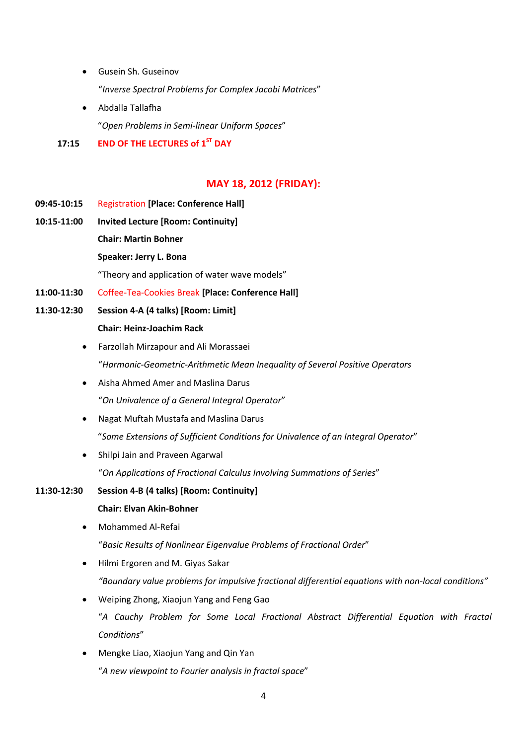Gusein Sh. Guseinov

"*Inverse Spectral Problems for Complex Jacobi Matrices*"

 Abdalla Tallafha "*Open Problems in Semi-linear Uniform Spaces*"

## **17:15 END OF THE LECTURES of 1ST DAY**

# **MAY 18, 2012 (FRIDAY):**

- **09:45-10:15** Registration **[Place: Conference Hall]**
- **10:15-11:00 Invited Lecture [Room: Continuity] Chair: Martin Bohner**

#### **Speaker: Jerry L. Bona**

"Theory and application of water wave models"

- **11:00-11:30** Coffee-Tea-Cookies Break **[Place: Conference Hall]**
- **11:30-12:30 Session 4-A (4 talks) [Room: Limit]**

#### **Chair: Heinz-Joachim Rack**

- Farzollah Mirzapour and Ali Morassaei "*Harmonic-Geometric-Arithmetic Mean Inequality of Several Positive Operators*
- Aisha Ahmed Amer and Maslina Darus "*On Univalence of a General Integral Operator*"
- Nagat Muftah Mustafa and Maslina Darus "*Some Extensions of Sufficient Conditions for Univalence of an Integral Operator*"
- Shilpi Jain and Praveen Agarwal "*On Applications of Fractional Calculus Involving Summations of Series*"
- **11:30-12:30 Session 4-B (4 talks) [Room: Continuity] Chair: Elvan Akin-Bohner**
	- Mohammed Al-Refai

"*Basic Results of Nonlinear Eigenvalue Problems of Fractional Order*"

- Hilmi Ergoren and M. Giyas Sakar *"Boundary value problems for impulsive fractional differential equations with non-local conditions"*
- Weiping Zhong, Xiaojun Yang and Feng Gao "*A Cauchy Problem for Some Local Fractional Abstract Differential Equation with Fractal Conditions*"
- Mengke Liao, Xiaojun Yang and Qin Yan "*A new viewpoint to Fourier analysis in fractal space*"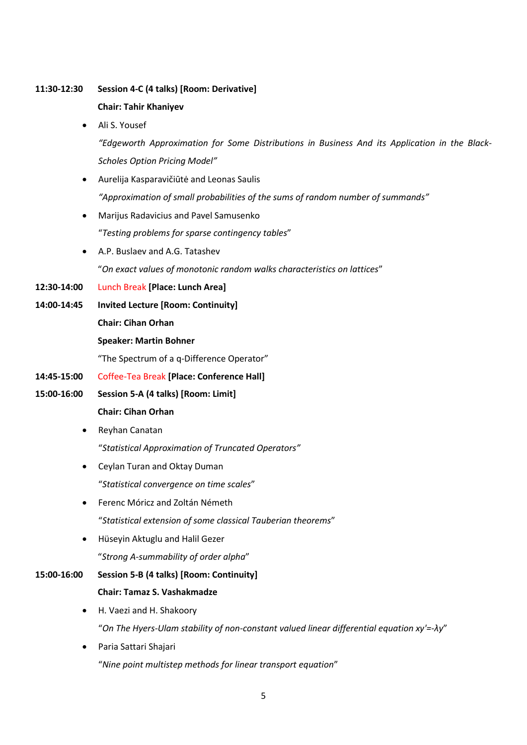### **11:30-12:30 Session 4-C (4 talks) [Room: Derivative]**

## **Chair: Tahir Khaniyev**

Ali S. Yousef

*"Edgeworth Approximation for Some Distributions in Business And its Application in the Black-Scholes Option Pricing Model"*

- Aurelija Kasparavičiūtė and Leonas Saulis *"Approximation of small probabilities of the sums of random number of summands"*
- Marijus Radavicius and Pavel Samusenko "*Testing problems for sparse contingency tables*"
- A.P. Buslaev and A.G. Tatashev "*On exact values of monotonic random walks characteristics on lattices*"
- **12:30-14:00** Lunch Break **[Place: Lunch Area]**
- **14:00-14:45 Invited Lecture [Room: Continuity] Chair: Cihan Orhan Speaker: Martin Bohner**

"The Spectrum of a q-Difference Operator"

- **14:45-15:00** Coffee-Tea Break **[Place: Conference Hall]**
- **15:00-16:00 Session 5-A (4 talks) [Room: Limit] Chair: Cihan Orhan**
	- Reyhan Canatan "*Statistical Approximation of Truncated Operators"*
	- Ceylan Turan and Oktay Duman "*Statistical convergence on time scales*"
	- Ferenc Móricz and Zoltán Németh "*Statistical extension of some classical Tauberian theorems*"
	- Hüseyin Aktuglu and Halil Gezer "*Strong A-summability of order alpha*"

### **15:00-16:00 Session 5-B (4 talks) [Room: Continuity]**

#### **Chair: Tamaz S. Vashakmadze**

- H. Vaezi and H. Shakoory "*On The Hyers-Ulam stability of non-constant valued linear differential equation xy'=-λy*"
- Paria Sattari Shajari

"*Nine point multistep methods for linear transport equation*"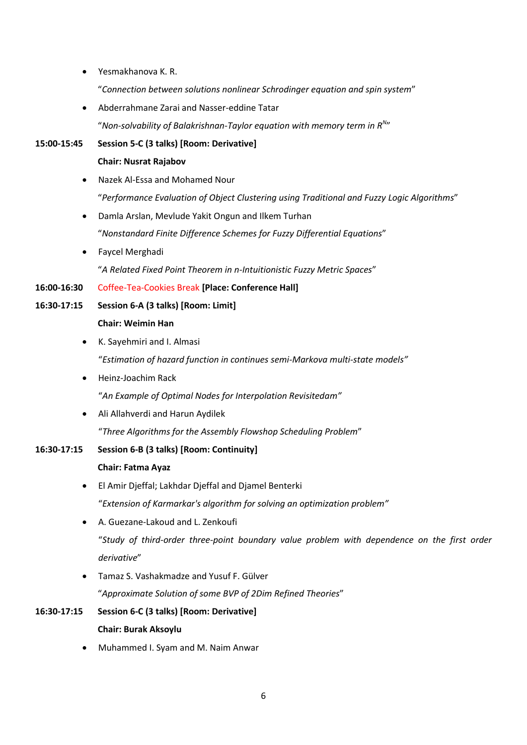Yesmakhanova K. R.

"*Connection between solutions nonlinear Schrodinger equation and spin system*"

Abderrahmane Zarai and Nasser-eddine Tatar

"*Non-solvability of Balakrishnan-Taylor equation with memory term in R<sup>N</sup>* "

- **15:00-15:45 Session 5-C (3 talks) [Room: Derivative] Chair: Nusrat Rajabov**
	- Nazek Al-Essa and Mohamed Nour "*Performance Evaluation of Object Clustering using Traditional and Fuzzy Logic Algorithms*"
	- Damla Arslan, Mevlude Yakit Ongun and Ilkem Turhan "*Nonstandard Finite Difference Schemes for Fuzzy Differential Equations*"
	- Faycel Merghadi

"*A Related Fixed Point Theorem in n-Intuitionistic Fuzzy Metric Spaces*"

### **16:00-16:30** Coffee-Tea-Cookies Break **[Place: Conference Hall]**

# **16:30-17:15 Session 6-A (3 talks) [Room: Limit]**

**Chair: Weimin Han**

- K. Sayehmiri and I. Almasi "*Estimation of hazard function in continues semi-Markova multi-state models"*
- Heinz-Joachim Rack

"*An Example of Optimal Nodes for Interpolation Revisitedam"*

Ali Allahverdi and Harun Aydilek

"*Three Algorithms for the Assembly Flowshop Scheduling Problem*"

**16:30-17:15 Session 6-B (3 talks) [Room: Continuity]**

## **Chair: Fatma Ayaz**

- El Amir Djeffal; Lakhdar Djeffal and Djamel Benterki "*Extension of Karmarkar's algorithm for solving an optimization problem"*
- A. Guezane-Lakoud and L. Zenkoufi "*Study of third-order three-point boundary value problem with dependence on the first order derivative*"
- Tamaz S. Vashakmadze and Yusuf F. Gülver "*Approximate Solution of some BVP of 2Dim Refined Theories*"
- **16:30-17:15 Session 6-C (3 talks) [Room: Derivative] Chair: Burak Aksoylu**
	- Muhammed I. Syam and M. Naim Anwar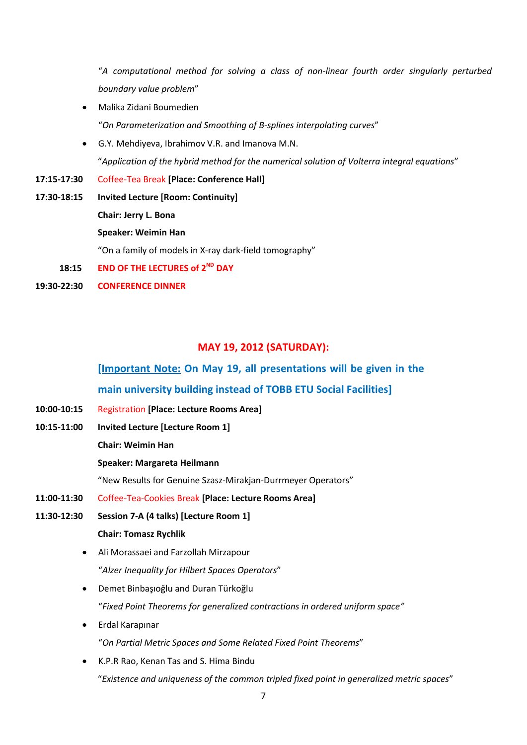"*A computational method for solving a class of non-linear fourth order singularly perturbed boundary value problem*"

Malika Zidani Boumedien

"*On Parameterization and Smoothing of B-splines interpolating curves*"

- G.Y. Mehdiyeva, Ibrahimov V.R. and Imanova M.N. "*Application of the hybrid method for the numerical solution of Volterra integral equations*"
- **17:15-17:30** Coffee-Tea Break **[Place: Conference Hall]**
- **17:30-18:15 Invited Lecture [Room: Continuity] Chair: Jerry L. Bona Speaker: Weimin Han** "On a family of models in X-ray dark-field tomography"
- 18:15 **END OF THE LECTURES of 2<sup>ND</sup> DAY**
- **19:30-22:30 CONFERENCE DINNER**
	-

# **MAY 19, 2012 (SATURDAY):**

# **[Important Note: On May 19, all presentations will be given in the**

# **main university building instead of TOBB ETU Social Facilities]**

- **10:00-10:15** Registration **[Place: Lecture Rooms Area]**
- **10:15-11:00 Invited Lecture [Lecture Room 1]**
	- **Chair: Weimin Han**

#### **Speaker: Margareta Heilmann**

"New Results for Genuine Szasz-Mirakjan-Durrmeyer Operators"

- **11:00-11:30** Coffee-Tea-Cookies Break **[Place: Lecture Rooms Area]**
- **11:30-12:30 Session 7-A (4 talks) [Lecture Room 1] Chair: Tomasz Rychlik**
	- Ali Morassaei and Farzollah Mirzapour "*Alzer Inequality for Hilbert Spaces Operators*"
	- Demet Binbaşıoğlu and Duran Türkoğlu "*Fixed Point Theorems for generalized contractions in ordered uniform space"*
	- Erdal Karapınar "*On Partial Metric Spaces and Some Related Fixed Point Theorems*"
	- K.P.R Rao, Kenan Tas and S. Hima Bindu "*Existence and uniqueness of the common tripled fixed point in generalized metric spaces*"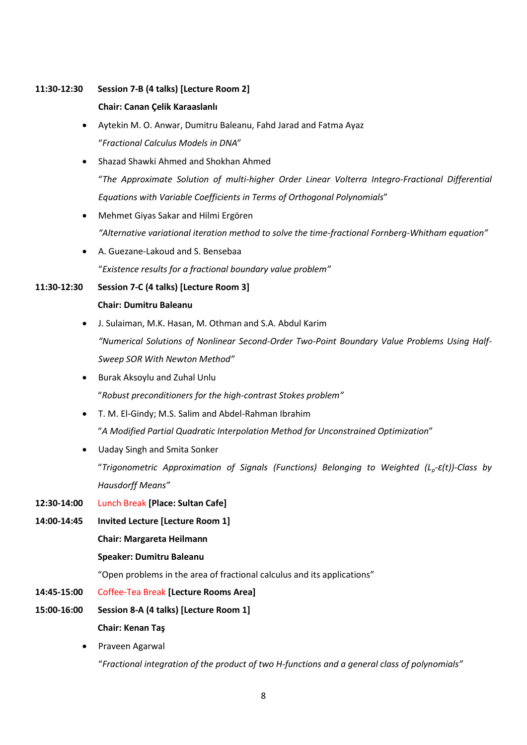### **11:30-12:30 Session 7-B (4 talks) [Lecture Room 2]**

### **Chair: Canan Çelik Karaaslanlı**

- Aytekin M. O. Anwar, Dumitru Baleanu, Fahd Jarad and Fatma Ayaz "*Fractional Calculus Models in DNA*"
- Shazad Shawki Ahmed and Shokhan Ahmed "*The Approximate Solution of multi-higher Order Linear Volterra Integro-Fractional Differential Equations with Variable Coefficients in Terms of Orthogonal Polynomials*"
- Mehmet Giyas Sakar and Hilmi Ergören *"Alternative variational iteration method to solve the time-fractional Fornberg-Whitham equation"*
- A. Guezane-Lakoud and S. Bensebaa "*Existence results for a fractional boundary value problem"*

## **11:30-12:30 Session 7-C (4 talks) [Lecture Room 3]**

## **Chair: Dumitru Baleanu**

- J. Sulaiman, M.K. Hasan, M. Othman and S.A. Abdul Karim *"Numerical Solutions of Nonlinear Second-Order Two-Point Boundary Value Problems Using Half-Sweep SOR With Newton Method"*
- Burak Aksoylu and Zuhal Unlu "*Robust preconditioners for the high-contrast Stokes problem"*
- T. M. El-Gindy; M.S. Salim and Abdel-Rahman Ibrahim "*A Modified Partial Quadratic Interpolation Method for Unconstrained Optimization*"
- Uaday Singh and Smita Sonker "*Trigonometric Approximation of Signals (Functions) Belonging to Weighted (Lp-ɛ(t))-Class by Hausdorff Means"*

## **12:30-14:00** Lunch Break **[Place: Sultan Cafe]**

**14:00-14:45 Invited Lecture [Lecture Room 1]**

**Chair: Margareta Heilmann**

### **Speaker: Dumitru Baleanu**

"Open problems in the area of fractional calculus and its applications"

## **14:45-15:00** Coffee-Tea Break **[Lecture Rooms Area]**

- **15:00-16:00 Session 8-A (4 talks) [Lecture Room 1] Chair: Kenan Taş**
	- Praveen Agarwal "*Fractional integration of the product of two H-functions and a general class of polynomials"*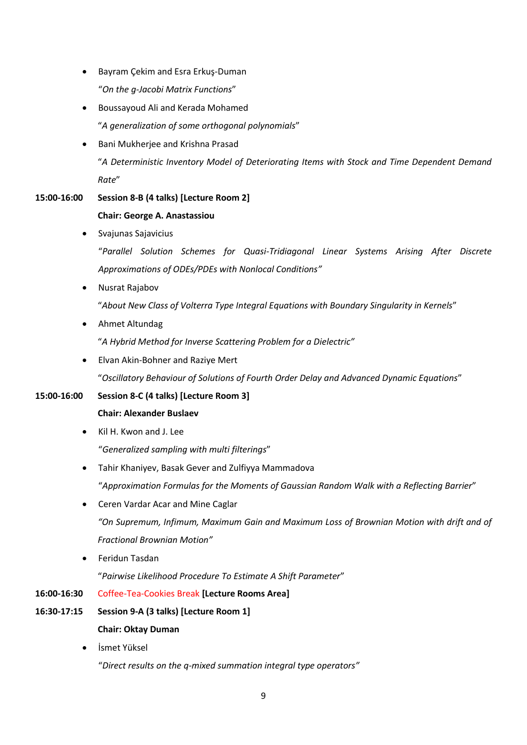- Bayram Çekim and Esra Erkuş-Duman "*On the g-Jacobi Matrix Functions*"
- Boussayoud Ali and Kerada Mohamed "*A generalization of some orthogonal polynomials*"
- Bani Mukherjee and Krishna Prasad "*A Deterministic Inventory Model of Deteriorating Items with Stock and Time Dependent Demand Rate*"

# **15:00-16:00 Session 8-B (4 talks) [Lecture Room 2] Chair: George A. Anastassiou**

Svajunas Sajavicius

"*Parallel Solution Schemes for Quasi-Tridiagonal Linear Systems Arising After Discrete Approximations of ODEs/PDEs with Nonlocal Conditions"*

• Nusrat Rajabov

"*About New Class of Volterra Type Integral Equations with Boundary Singularity in Kernels*"

Ahmet Altundag

"*A Hybrid Method for Inverse Scattering Problem for a Dielectric"*

 Elvan Akin-Bohner and Raziye Mert "*Oscillatory Behaviour of Solutions of Fourth Order Delay and Advanced Dynamic Equations*"

# **15:00-16:00 Session 8-C (4 talks) [Lecture Room 3]**

## **Chair: Alexander Buslaev**

• Kil H. Kwon and J. Lee

"*Generalized sampling with multi filterings*"

- Tahir Khaniyev, Basak Gever and Zulfiyya Mammadova "*Approximation Formulas for the Moments of Gaussian Random Walk with a Reflecting Barrier*"
- Ceren Vardar Acar and Mine Caglar *"On Supremum, Infimum, Maximum Gain and Maximum Loss of Brownian Motion with drift and of Fractional Brownian Motion"*
- Feridun Tasdan

"*Pairwise Likelihood Procedure To Estimate A Shift Parameter*"

## **16:00-16:30** Coffee-Tea-Cookies Break **[Lecture Rooms Area]**

# **16:30-17:15 Session 9-A (3 talks) [Lecture Room 1] Chair: Oktay Duman**

İsmet Yüksel

"*Direct results on the q-mixed summation integral type operators"*